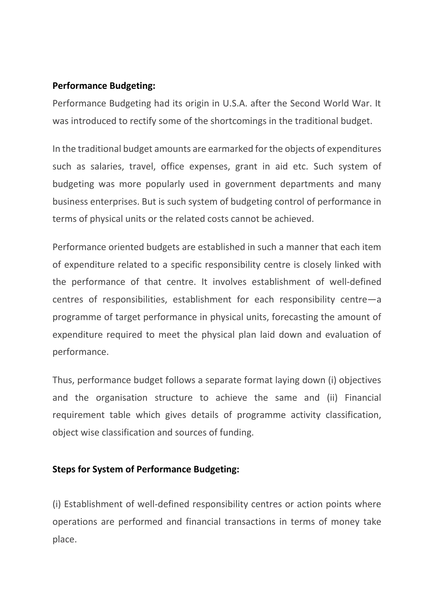#### **Performance Budgeting:**

Performance Budgeting had its origin in U.S.A. after the Second World War. It was introduced to rectify some of the shortcomings in the traditional budget.

In the traditional budget amounts are earmarked for the objects of expenditures such as salaries, travel, office expenses, grant in aid etc. Such system of budgeting was more popularly used in government departments and many business enterprises. But is such system of budgeting control of performance in terms of physical units or the related costs cannot be achieved.

Performance oriented budgets are established in such a manner that each item of expenditure related to a specific responsibility centre is closely linked with the performance of that centre. It involves establishment of well-defined centres of responsibilities, establishment for each responsibility centre—a programme of target performance in physical units, forecasting the amount of expenditure required to meet the physical plan laid down and evaluation of performance.

Thus, performance budget follows a separate format laying down (i) objectives and the organisation structure to achieve the same and (ii) Financial requirement table which gives details of programme activity classification, object wise classification and sources of funding.

### **Steps for System of Performance Budgeting:**

(i) Establishment of well-defined responsibility centres or action points where operations are performed and financial transactions in terms of money take place.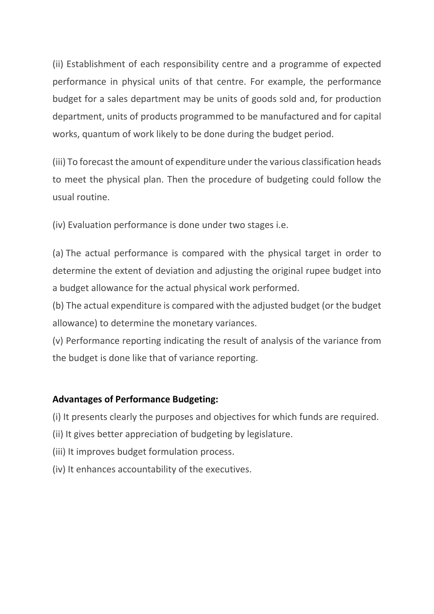(ii) Establishment of each responsibility centre and a programme of expected performance in physical units of that centre. For example, the performance budget for a sales department may be units of goods sold and, for production department, units of products programmed to be manufactured and for capital works, quantum of work likely to be done during the budget period.

(iii) To forecast the amount of expenditure under the various classification heads to meet the physical plan. Then the procedure of budgeting could follow the usual routine.

(iv) Evaluation performance is done under two stages i.e.

(a) The actual performance is compared with the physical target in order to determine the extent of deviation and adjusting the original rupee budget into a budget allowance for the actual physical work performed.

(b) The actual expenditure is compared with the adjusted budget (or the budget allowance) to determine the monetary variances.

(v) Performance reporting indicating the result of analysis of the variance from the budget is done like that of variance reporting.

#### **Advantages of Performance Budgeting:**

(i) It presents clearly the purposes and objectives for which funds are required.

- (ii) It gives better appreciation of budgeting by legislature.
- (iii) It improves budget formulation process.
- (iv) It enhances accountability of the executives.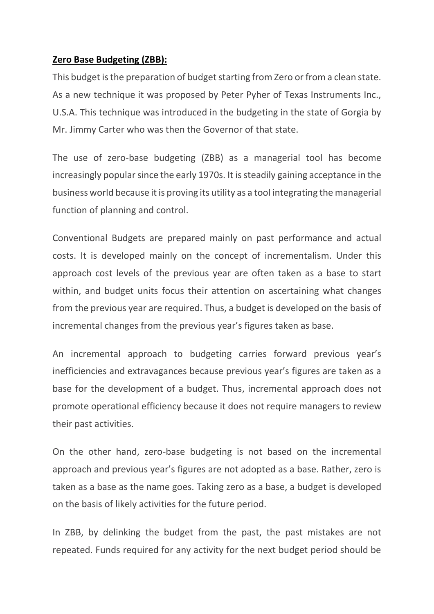### **Zero Base Budgeting (ZBB):**

This budget is the preparation of budget starting from Zero or from a clean state. As a new technique it was proposed by Peter Pyher of Texas Instruments Inc., U.S.A. This technique was introduced in the budgeting in the state of Gorgia by Mr. Jimmy Carter who was then the Governor of that state.

The use of zero-base budgeting (ZBB) as a managerial tool has become increasingly popular since the early 1970s. It is steadily gaining acceptance in the business world because it is proving its utility as a tool integrating the managerial function of planning and control.

Conventional Budgets are prepared mainly on past performance and actual costs. It is developed mainly on the concept of incrementalism. Under this approach cost levels of the previous year are often taken as a base to start within, and budget units focus their attention on ascertaining what changes from the previous year are required. Thus, a budget is developed on the basis of incremental changes from the previous year's figures taken as base.

An incremental approach to budgeting carries forward previous year's inefficiencies and extravagances because previous year's figures are taken as a base for the development of a budget. Thus, incremental approach does not promote operational efficiency because it does not require managers to review their past activities.

On the other hand, zero-base budgeting is not based on the incremental approach and previous year's figures are not adopted as a base. Rather, zero is taken as a base as the name goes. Taking zero as a base, a budget is developed on the basis of likely activities for the future period.

In ZBB, by delinking the budget from the past, the past mistakes are not repeated. Funds required for any activity for the next budget period should be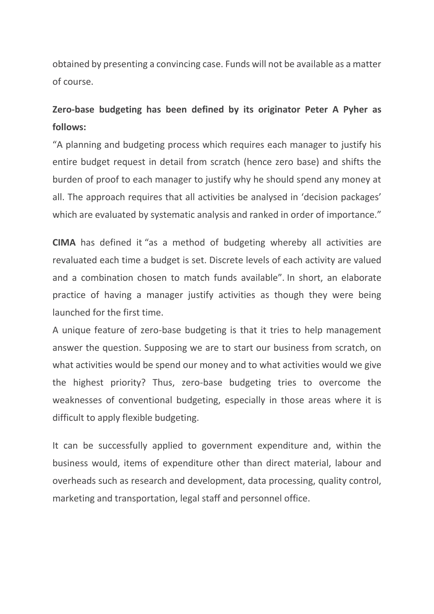obtained by presenting a convincing case. Funds will not be available as a matter of course.

# **Zero-base budgeting has been defined by its originator Peter A Pyher as follows:**

"A planning and budgeting process which requires each manager to justify his entire budget request in detail from scratch (hence zero base) and shifts the burden of proof to each manager to justify why he should spend any money at all. The approach requires that all activities be analysed in 'decision packages' which are evaluated by systematic analysis and ranked in order of importance."

**CIMA** has defined it "as a method of budgeting whereby all activities are revaluated each time a budget is set. Discrete levels of each activity are valued and a combination chosen to match funds available". In short, an elaborate practice of having a manager justify activities as though they were being launched for the first time.

A unique feature of zero-base budgeting is that it tries to help management answer the question. Supposing we are to start our business from scratch, on what activities would be spend our money and to what activities would we give the highest priority? Thus, zero-base budgeting tries to overcome the weaknesses of conventional budgeting, especially in those areas where it is difficult to apply flexible budgeting.

It can be successfully applied to government expenditure and, within the business would, items of expenditure other than direct material, labour and overheads such as research and development, data processing, quality control, marketing and transportation, legal staff and personnel office.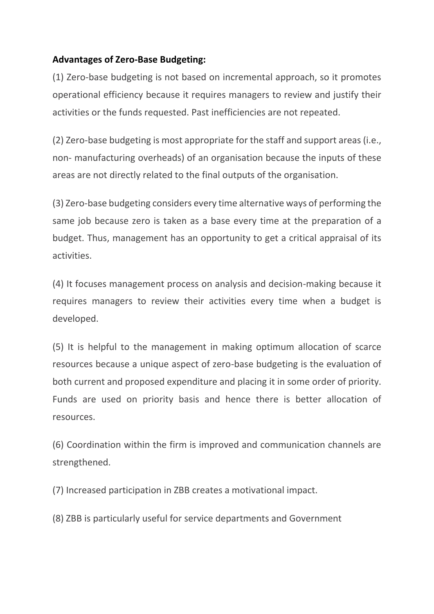## **Advantages of Zero-Base Budgeting:**

(1) Zero-base budgeting is not based on incremental approach, so it promotes operational efficiency because it requires managers to review and justify their activities or the funds requested. Past inefficiencies are not repeated.

(2) Zero-base budgeting is most appropriate for the staff and support areas (i.e., non- manufacturing overheads) of an organisation because the inputs of these areas are not directly related to the final outputs of the organisation.

(3) Zero-base budgeting considers every time alternative ways of performing the same job because zero is taken as a base every time at the preparation of a budget. Thus, management has an opportunity to get a critical appraisal of its activities.

(4) It focuses management process on analysis and decision-making because it requires managers to review their activities every time when a budget is developed.

(5) It is helpful to the management in making optimum allocation of scarce resources because a unique aspect of zero-base budgeting is the evaluation of both current and proposed expenditure and placing it in some order of priority. Funds are used on priority basis and hence there is better allocation of resources.

(6) Coordination within the firm is improved and communication channels are strengthened.

(7) Increased participation in ZBB creates a motivational impact.

(8) ZBB is particularly useful for service departments and Government